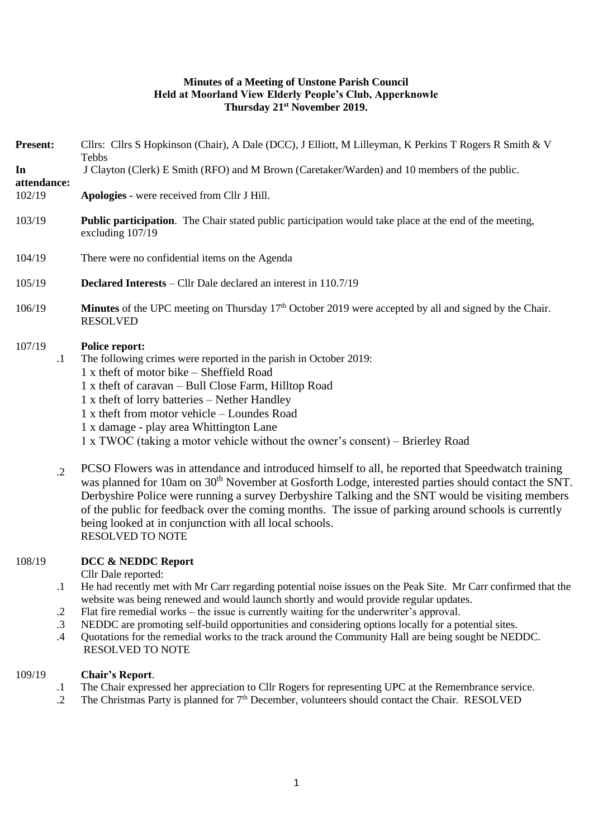## **Minutes of a Meeting of Unstone Parish Council Held at Moorland View Elderly People's Club, Apperknowle Thursday 21st November 2019.**

| <b>Present:</b><br>In                                  | Cllrs: Cllrs S Hopkinson (Chair), A Dale (DCC), J Elliott, M Lilleyman, K Perkins T Rogers R Smith & V<br>Tebbs<br>J Clayton (Clerk) E Smith (RFO) and M Brown (Caretaker/Warden) and 10 members of the public.                                                                                                                                                                                                                                                                                                                                                                            |
|--------------------------------------------------------|--------------------------------------------------------------------------------------------------------------------------------------------------------------------------------------------------------------------------------------------------------------------------------------------------------------------------------------------------------------------------------------------------------------------------------------------------------------------------------------------------------------------------------------------------------------------------------------------|
| attendance:<br>102/19                                  | Apologies - were received from Cllr J Hill.                                                                                                                                                                                                                                                                                                                                                                                                                                                                                                                                                |
| 103/19                                                 | <b>Public participation</b> . The Chair stated public participation would take place at the end of the meeting,<br>excluding 107/19                                                                                                                                                                                                                                                                                                                                                                                                                                                        |
| 104/19                                                 | There were no confidential items on the Agenda                                                                                                                                                                                                                                                                                                                                                                                                                                                                                                                                             |
| 105/19                                                 | <b>Declared Interests</b> – Cllr Dale declared an interest in 110.7/19                                                                                                                                                                                                                                                                                                                                                                                                                                                                                                                     |
| 106/19                                                 | <b>Minutes</b> of the UPC meeting on Thursday $17th$ October 2019 were accepted by all and signed by the Chair.<br><b>RESOLVED</b>                                                                                                                                                                                                                                                                                                                                                                                                                                                         |
| 107/19<br>$\cdot$                                      | <b>Police report:</b><br>The following crimes were reported in the parish in October 2019:<br>1 x theft of motor bike - Sheffield Road<br>1 x theft of caravan – Bull Close Farm, Hilltop Road<br>1 x theft of lorry batteries – Nether Handley<br>1 x theft from motor vehicle - Loundes Road<br>1 x damage - play area Whittington Lane<br>1 x TWOC (taking a motor vehicle without the owner's consent) – Brierley Road                                                                                                                                                                 |
| $\cdot$ .2                                             | PCSO Flowers was in attendance and introduced himself to all, he reported that Speedwatch training<br>was planned for 10am on 30 <sup>th</sup> November at Gosforth Lodge, interested parties should contact the SNT.<br>Derbyshire Police were running a survey Derbyshire Talking and the SNT would be visiting members<br>of the public for feedback over the coming months. The issue of parking around schools is currently<br>being looked at in conjunction with all local schools.<br><b>RESOLVED TO NOTE</b>                                                                      |
| 108/19<br>$\cdot$<br>$\cdot$ .2<br>$\cdot$ 3<br>$.4\,$ | DCC & NEDDC Report<br>Cllr Dale reported:<br>He had recently met with Mr Carr regarding potential noise issues on the Peak Site. Mr Carr confirmed that the<br>website was being renewed and would launch shortly and would provide regular updates.<br>Flat fire remedial works – the issue is currently waiting for the underwriter's approval.<br>NEDDC are promoting self-build opportunities and considering options locally for a potential sites.<br>Quotations for the remedial works to the track around the Community Hall are being sought be NEDDC.<br><b>RESOLVED TO NOTE</b> |
| 109/19<br>$\cdot$                                      | <b>Chair's Report.</b><br>The Chair expressed her appreciation to Cllr Rogers for representing UPC at the Remembrance service.                                                                                                                                                                                                                                                                                                                                                                                                                                                             |

.2 The Christmas Party is planned for 7<sup>th</sup> December, volunteers should contact the Chair. RESOLVED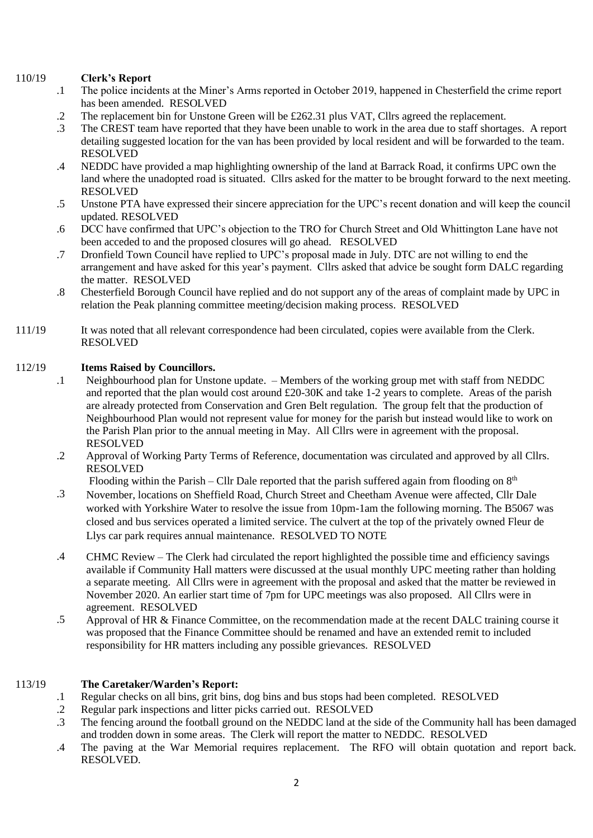### 110/19 **Clerk's Report**

- .1 The police incidents at the Miner's Arms reported in October 2019, happened in Chesterfield the crime report has been amended. RESOLVED
- .2 The replacement bin for Unstone Green will be £262.31 plus VAT, Cllrs agreed the replacement.
- .3 The CREST team have reported that they have been unable to work in the area due to staff shortages. A report detailing suggested location for the van has been provided by local resident and will be forwarded to the team. RESOLVED
- .4 NEDDC have provided a map highlighting ownership of the land at Barrack Road, it confirms UPC own the land where the unadopted road is situated. Cllrs asked for the matter to be brought forward to the next meeting. RESOLVED
- .5 Unstone PTA have expressed their sincere appreciation for the UPC's recent donation and will keep the council updated. RESOLVED
- .6 DCC have confirmed that UPC's objection to the TRO for Church Street and Old Whittington Lane have not been acceded to and the proposed closures will go ahead. RESOLVED
- .7 Dronfield Town Council have replied to UPC's proposal made in July. DTC are not willing to end the arrangement and have asked for this year's payment. Cllrs asked that advice be sought form DALC regarding the matter. RESOLVED
- .8 Chesterfield Borough Council have replied and do not support any of the areas of complaint made by UPC in relation the Peak planning committee meeting/decision making process. RESOLVED
- 111/19 It was noted that all relevant correspondence had been circulated, copies were available from the Clerk. RESOLVED

## 112/19 **Items Raised by Councillors.**

- .1 Neighbourhood plan for Unstone update. – Members of the working group met with staff from NEDDC and reported that the plan would cost around £20-30K and take 1-2 years to complete. Areas of the parish are already protected from Conservation and Gren Belt regulation. The group felt that the production of Neighbourhood Plan would not represent value for money for the parish but instead would like to work on the Parish Plan prior to the annual meeting in May. All Cllrs were in agreement with the proposal. RESOLVED
- .2 Approval of Working Party Terms of Reference, documentation was circulated and approved by all Cllrs. RESOLVED

Flooding within the Parish – Cllr Dale reported that the parish suffered again from flooding on  $8<sup>th</sup>$ 

- .3 November, locations on Sheffield Road, Church Street and Cheetham Avenue were affected, Cllr Dale worked with Yorkshire Water to resolve the issue from 10pm-1am the following morning. The B5067 was closed and bus services operated a limited service. The culvert at the top of the privately owned Fleur de Llys car park requires annual maintenance. RESOLVED TO NOTE
- .4 CHMC Review – The Clerk had circulated the report highlighted the possible time and efficiency savings available if Community Hall matters were discussed at the usual monthly UPC meeting rather than holding a separate meeting. All Cllrs were in agreement with the proposal and asked that the matter be reviewed in November 2020. An earlier start time of 7pm for UPC meetings was also proposed. All Cllrs were in agreement. RESOLVED
- .5 Approval of HR & Finance Committee, on the recommendation made at the recent DALC training course it was proposed that the Finance Committee should be renamed and have an extended remit to included responsibility for HR matters including any possible grievances. RESOLVED

### 113/19 **The Caretaker/Warden's Report:**

- .1 Regular checks on all bins, grit bins, dog bins and bus stops had been completed. RESOLVED
- .2 Regular park inspections and litter picks carried out. RESOLVED
- .3 The fencing around the football ground on the NEDDC land at the side of the Community hall has been damaged and trodden down in some areas. The Clerk will report the matter to NEDDC. RESOLVED
- .4 The paving at the War Memorial requires replacement. The RFO will obtain quotation and report back. RESOLVED.